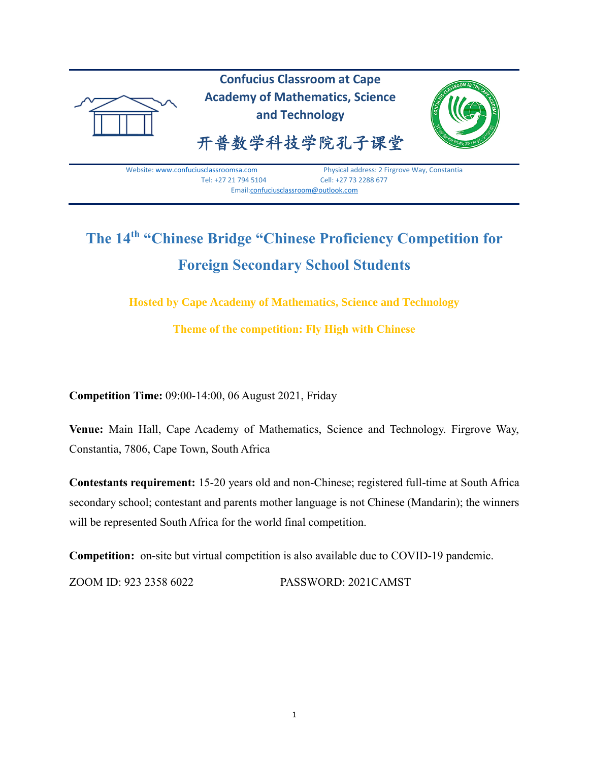

# **The 14th "Chinese Bridge "Chinese Proficiency Competition for Foreign Secondary School Students**

**Hosted by Cape Academy of Mathematics, Science and Technology**

**Theme of the competition: Fly High with Chinese**

**Competition Time:** 09:00-14:00, 06 August 2021, Friday

**Venue:** Main Hall, Cape Academy of Mathematics, Science and Technology. Firgrove Way, Constantia, 7806, Cape Town, South Africa

**Contestants requirement:** 15-20 years old and non-Chinese; registered full-time at South Africa secondary school; contestant and parents mother language is not Chinese (Mandarin); the winners will be represented South Africa for the world final competition.

**Competition:** on-site but virtual competition is also available due to COVID-19 pandemic.

ZOOM ID: 923 2358 6022 PASSWORD: 2021CAMST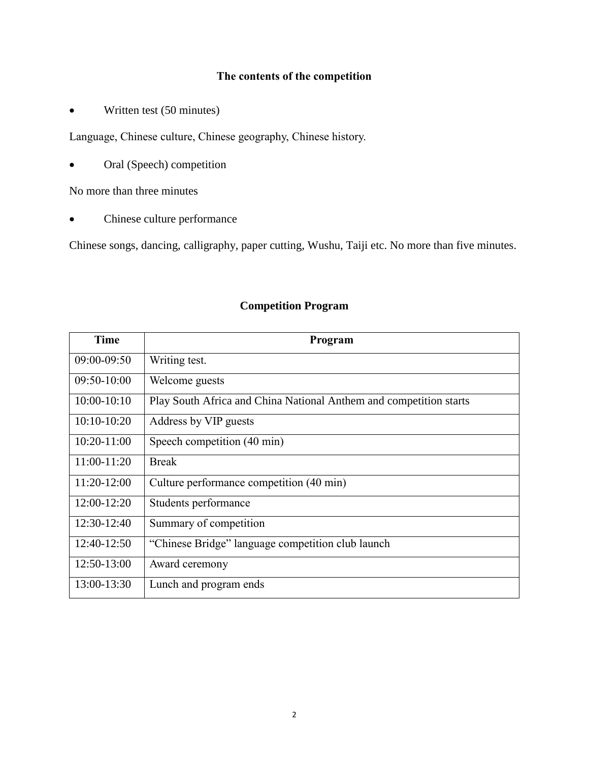# **The contents of the competition**

• Written test (50 minutes)

Language, Chinese culture, Chinese geography, Chinese history.

• Oral (Speech) competition

No more than three minutes

Chinese culture performance

Chinese songs, dancing, calligraphy, paper cutting, Wushu, Taiji etc. No more than five minutes.

| <b>Time</b>   | Program                                                            |  |  |
|---------------|--------------------------------------------------------------------|--|--|
| 09:00-09:50   | Writing test.                                                      |  |  |
| $09:50-10:00$ | Welcome guests                                                     |  |  |
| $10:00-10:10$ | Play South Africa and China National Anthem and competition starts |  |  |
| $10:10-10:20$ | Address by VIP guests                                              |  |  |
| $10:20-11:00$ | Speech competition (40 min)                                        |  |  |
| 11:00-11:20   | <b>Break</b>                                                       |  |  |
| $11:20-12:00$ | Culture performance competition (40 min)                           |  |  |
| 12:00-12:20   | Students performance                                               |  |  |
| 12:30-12:40   | Summary of competition                                             |  |  |
| 12:40-12:50   | "Chinese Bridge" language competition club launch                  |  |  |
| 12:50-13:00   | Award ceremony                                                     |  |  |
| 13:00-13:30   | Lunch and program ends                                             |  |  |

#### **Competition Program**